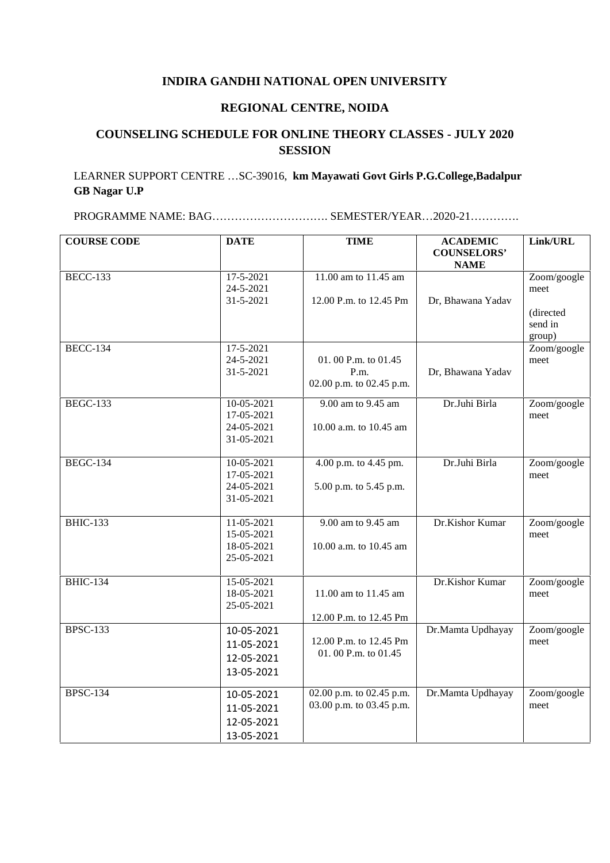## **INDIRA GANDHI NATIONAL OPEN UNIVERSITY**

## **REGIONAL CENTRE, NOIDA**

## **COUNSELING SCHEDULE FOR ONLINE THEORY CLASSES - JULY 2020 SESSION**

## LEARNER SUPPORT CENTRE …SC-39016, **km Mayawati Govt Girls P.G.College,Badalpur GB Nagar U.P**

PROGRAMME NAME: BAG…………………………. SEMESTER/YEAR…2020-21………….

| <b>COURSE CODE</b> | <b>DATE</b>                                          | <b>TIME</b>                                             | <b>ACADEMIC</b><br><b>COUNSELORS'</b><br><b>NAME</b> | Link/URL                                              |
|--------------------|------------------------------------------------------|---------------------------------------------------------|------------------------------------------------------|-------------------------------------------------------|
| <b>BECC-133</b>    | 17-5-2021<br>24-5-2021<br>31-5-2021                  | 11.00 am to 11.45 am<br>12.00 P.m. to 12.45 Pm          | Dr, Bhawana Yadav                                    | Zoom/google<br>meet<br>(directed<br>send in<br>group) |
| <b>BECC-134</b>    | 17-5-2021<br>24-5-2021<br>31-5-2021                  | 01.00 P.m. to 01.45<br>P.m.<br>02.00 p.m. to 02.45 p.m. | Dr, Bhawana Yadav                                    | Zoom/google<br>meet                                   |
| <b>BEGC-133</b>    | 10-05-2021<br>17-05-2021<br>24-05-2021<br>31-05-2021 | 9.00 am to 9.45 am<br>10.00 a.m. to 10.45 am            | Dr.Juhi Birla                                        | Zoom/google<br>meet                                   |
| <b>BEGC-134</b>    | 10-05-2021<br>17-05-2021<br>24-05-2021<br>31-05-2021 | 4.00 p.m. to 4.45 pm.<br>5.00 p.m. to 5.45 p.m.         | Dr.Juhi Birla                                        | Zoom/google<br>meet                                   |
| <b>BHIC-133</b>    | 11-05-2021<br>15-05-2021<br>18-05-2021<br>25-05-2021 | 9.00 am to 9.45 am<br>10.00 a.m. to 10.45 am            | Dr.Kishor Kumar                                      | Zoom/google<br>meet                                   |
| <b>BHIC-134</b>    | 15-05-2021<br>18-05-2021<br>25-05-2021               | 11.00 am to 11.45 am<br>12.00 P.m. to 12.45 Pm          | Dr.Kishor Kumar                                      | Zoom/google<br>meet                                   |
| <b>BPSC-133</b>    | 10-05-2021<br>11-05-2021<br>12-05-2021<br>13-05-2021 | 12.00 P.m. to 12.45 Pm<br>01.00 P.m. to 01.45           | Dr.Mamta Updhayay                                    | Zoom/google<br>meet                                   |
| <b>BPSC-134</b>    | 10-05-2021<br>11-05-2021<br>12-05-2021<br>13-05-2021 | 02.00 p.m. to 02.45 p.m.<br>03.00 p.m. to 03.45 p.m.    | Dr.Mamta Updhayay                                    | Zoom/google<br>meet                                   |